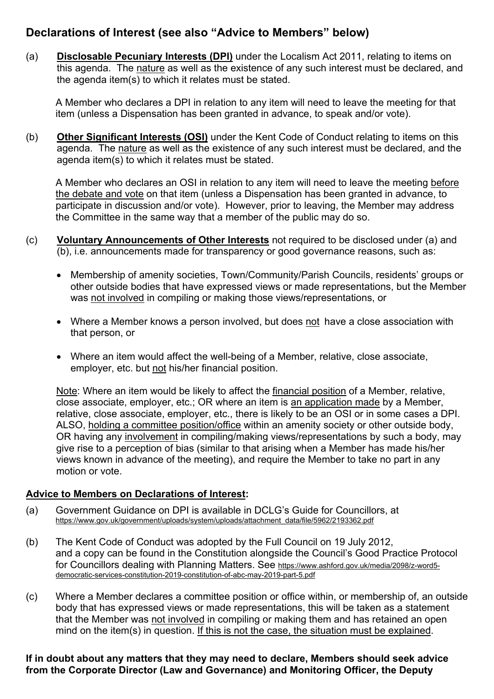## **Declarations of Interest (see also "Advice to Members" below)**

(a) **Disclosable Pecuniary Interests (DPI)** under the Localism Act 2011, relating to items on this agenda. The nature as well as the existence of any such interest must be declared, and the agenda item(s) to which it relates must be stated.

A Member who declares a DPI in relation to any item will need to leave the meeting for that item (unless a Dispensation has been granted in advance, to speak and/or vote).

(b) **Other Significant Interests (OSI)** under the Kent Code of Conduct relating to items on this agenda. The nature as well as the existence of any such interest must be declared, and the agenda item(s) to which it relates must be stated.

A Member who declares an OSI in relation to any item will need to leave the meeting before the debate and vote on that item (unless a Dispensation has been granted in advance, to participate in discussion and/or vote). However, prior to leaving, the Member may address the Committee in the same way that a member of the public may do so.

- (c) **Voluntary Announcements of Other Interests** not required to be disclosed under (a) and (b), i.e. announcements made for transparency or good governance reasons, such as:
	- Membership of amenity societies, Town/Community/Parish Councils, residents' groups or other outside bodies that have expressed views or made representations, but the Member was not involved in compiling or making those views/representations, or
	- Where a Member knows a person involved, but does not have a close association with that person, or
	- Where an item would affect the well-being of a Member, relative, close associate, employer, etc. but not his/her financial position.

Note: Where an item would be likely to affect the financial position of a Member, relative, close associate, employer, etc.; OR where an item is an application made by a Member, relative, close associate, employer, etc., there is likely to be an OSI or in some cases a DPI. ALSO, holding a committee position/office within an amenity society or other outside body, OR having any involvement in compiling/making views/representations by such a body, may give rise to a perception of bias (similar to that arising when a Member has made his/her views known in advance of the meeting), and require the Member to take no part in any motion or vote.

## **Advice to Members on Declarations of Interest:**

- (a) Government Guidance on DPI is available in DCLG's Guide for Councillors, at [https://www.gov.uk/government/uploads/system/uploads/attachment\\_data/file/5962/2193362.pdf](https://www.gov.uk/government/uploads/system/uploads/attachment_data/file/5962/2193362.pdf)
- (b) The Kent Code of Conduct was adopted by the Full Council on 19 July 2012, and a copy can be found in the Constitution alongside the Council's Good Practice Protocol for Councillors dealing with Planning Matters. See [https://www.ashford.gov.uk/media/2098/z-word5](https://www.ashford.gov.uk/media/2098/z-word5-democratic-services-constitution-2019-constitution-of-abc-may-2019-part-5.pdf) [democratic-services-constitution-2019-constitution-of-abc-may-2019-part-5.pdf](https://www.ashford.gov.uk/media/2098/z-word5-democratic-services-constitution-2019-constitution-of-abc-may-2019-part-5.pdf)
- (c) Where a Member declares a committee position or office within, or membership of, an outside body that has expressed views or made representations, this will be taken as a statement that the Member was not involved in compiling or making them and has retained an open mind on the item(s) in question. If this is not the case, the situation must be explained.

## **If in doubt about any matters that they may need to declare, Members should seek advice from the Corporate Director (Law and Governance) and Monitoring Officer, the Deputy**